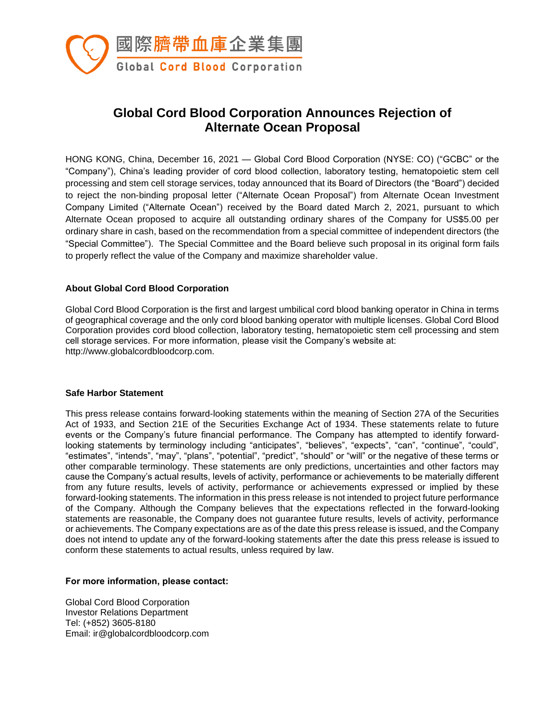

## **Global Cord Blood Corporation Announces Rejection of Alternate Ocean Proposal**

HONG KONG, China, December 16, 2021 — Global Cord Blood Corporation (NYSE: CO) ("GCBC" or the "Company"), China's leading provider of cord blood collection, laboratory testing, hematopoietic stem cell processing and stem cell storage services, today announced that its Board of Directors (the "Board") decided to reject the non-binding proposal letter ("Alternate Ocean Proposal") from Alternate Ocean Investment Company Limited ("Alternate Ocean") received by the Board dated March 2, 2021, pursuant to which Alternate Ocean proposed to acquire all outstanding ordinary shares of the Company for US\$5.00 per ordinary share in cash, based on the recommendation from a special committee of independent directors (the "Special Committee"). The Special Committee and the Board believe such proposal in its original form fails to properly reflect the value of the Company and maximize shareholder value.

## **About Global Cord Blood Corporation**

Global Cord Blood Corporation is the first and largest umbilical cord blood banking operator in China in terms of geographical coverage and the only cord blood banking operator with multiple licenses. Global Cord Blood Corporation provides cord blood collection, laboratory testing, hematopoietic stem cell processing and stem cell storage services. For more information, please visit the Company's website at: http://www.globalcordbloodcorp.com.

## **Safe Harbor Statement**

This press release contains forward-looking statements within the meaning of Section 27A of the Securities Act of 1933, and Section 21E of the Securities Exchange Act of 1934. These statements relate to future events or the Company's future financial performance. The Company has attempted to identify forwardlooking statements by terminology including "anticipates", "believes", "expects", "can", "continue", "could", "estimates", "intends", "may", "plans", "potential", "predict", "should" or "will" or the negative of these terms or other comparable terminology. These statements are only predictions, uncertainties and other factors may cause the Company's actual results, levels of activity, performance or achievements to be materially different from any future results, levels of activity, performance or achievements expressed or implied by these forward-looking statements. The information in this press release is not intended to project future performance of the Company. Although the Company believes that the expectations reflected in the forward-looking statements are reasonable, the Company does not guarantee future results, levels of activity, performance or achievements. The Company expectations are as of the date this press release is issued, and the Company does not intend to update any of the forward-looking statements after the date this press release is issued to conform these statements to actual results, unless required by law.

## **For more information, please contact:**

Global Cord Blood Corporation Investor Relations Department Tel: (+852) 3605-8180 Email: ir@globalcordbloodcorp.com